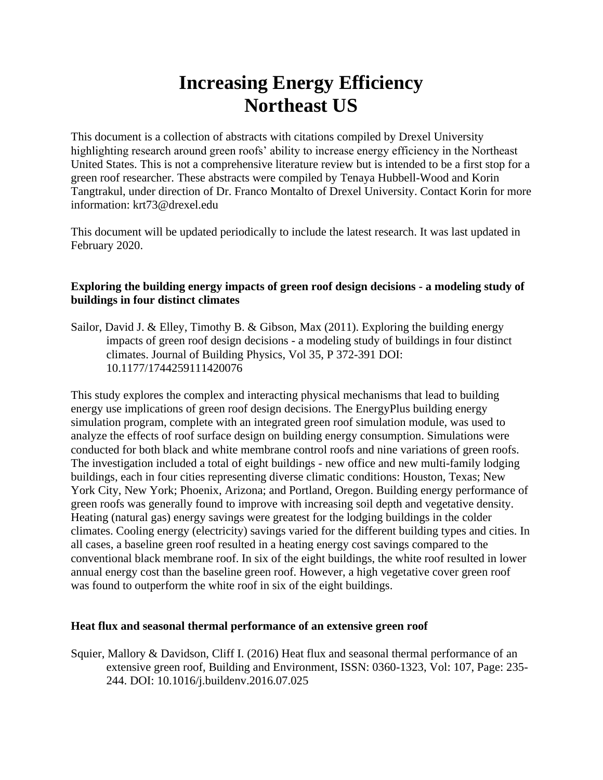# **Increasing Energy Efficiency Northeast US**

This document is a collection of abstracts with citations compiled by Drexel University highlighting research around green roofs' ability to increase energy efficiency in the Northeast United States. This is not a comprehensive literature review but is intended to be a first stop for a green roof researcher. These abstracts were compiled by Tenaya Hubbell-Wood and Korin Tangtrakul, under direction of Dr. Franco Montalto of Drexel University. Contact Korin for more information: krt73@drexel.edu

This document will be updated periodically to include the latest research. It was last updated in February 2020.

## **Exploring the building energy impacts of green roof design decisions - a modeling study of buildings in four distinct climates**

Sailor, David J. & Elley, Timothy B. & Gibson, Max (2011). Exploring the building energy impacts of green roof design decisions - a modeling study of buildings in four distinct climates. Journal of Building Physics, Vol 35, P 372-391 DOI: 10.1177/1744259111420076

This study explores the complex and interacting physical mechanisms that lead to building energy use implications of green roof design decisions. The EnergyPlus building energy simulation program, complete with an integrated green roof simulation module, was used to analyze the effects of roof surface design on building energy consumption. Simulations were conducted for both black and white membrane control roofs and nine variations of green roofs. The investigation included a total of eight buildings - new office and new multi-family lodging buildings, each in four cities representing diverse climatic conditions: Houston, Texas; New York City, New York; Phoenix, Arizona; and Portland, Oregon. Building energy performance of green roofs was generally found to improve with increasing soil depth and vegetative density. Heating (natural gas) energy savings were greatest for the lodging buildings in the colder climates. Cooling energy (electricity) savings varied for the different building types and cities. In all cases, a baseline green roof resulted in a heating energy cost savings compared to the conventional black membrane roof. In six of the eight buildings, the white roof resulted in lower annual energy cost than the baseline green roof. However, a high vegetative cover green roof was found to outperform the white roof in six of the eight buildings.

#### **Heat flux and seasonal thermal performance of an extensive green roof**

Squier, Mallory & Davidson, Cliff I. (2016) Heat flux and seasonal thermal performance of an extensive green roof, Building and Environment, ISSN: 0360-1323, Vol: 107, Page: 235- 244. DOI: 10.1016/j.buildenv.2016.07.025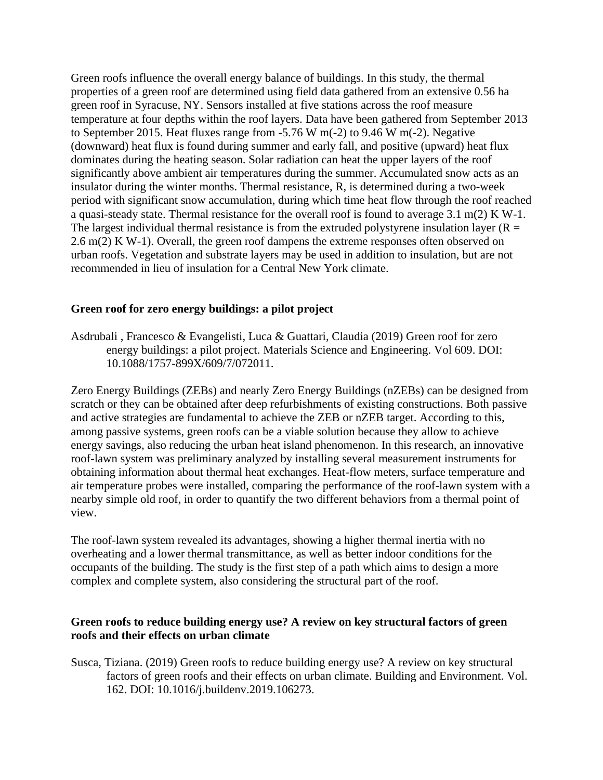Green roofs influence the overall energy balance of buildings. In this study, the thermal properties of a green roof are determined using field data gathered from an extensive 0.56 ha green roof in Syracuse, NY. Sensors installed at five stations across the roof measure temperature at four depths within the roof layers. Data have been gathered from September 2013 to September 2015. Heat fluxes range from -5.76 W m(-2) to 9.46 W m(-2). Negative (downward) heat flux is found during summer and early fall, and positive (upward) heat flux dominates during the heating season. Solar radiation can heat the upper layers of the roof significantly above ambient air temperatures during the summer. Accumulated snow acts as an insulator during the winter months. Thermal resistance, R, is determined during a two-week period with significant snow accumulation, during which time heat flow through the roof reached a quasi-steady state. Thermal resistance for the overall roof is found to average 3.1 m(2) K W-1. The largest individual thermal resistance is from the extruded polystyrene insulation layer ( $R =$ 2.6 m(2) K W-1). Overall, the green roof dampens the extreme responses often observed on urban roofs. Vegetation and substrate layers may be used in addition to insulation, but are not recommended in lieu of insulation for a Central New York climate.

## **Green roof for zero energy buildings: a pilot project**

Asdrubali , Francesco & Evangelisti, Luca & Guattari, Claudia (2019) Green roof for zero energy buildings: a pilot project. Materials Science and Engineering. Vol 609. DOI: 10.1088/1757-899X/609/7/072011.

Zero Energy Buildings (ZEBs) and nearly Zero Energy Buildings (nZEBs) can be designed from scratch or they can be obtained after deep refurbishments of existing constructions. Both passive and active strategies are fundamental to achieve the ZEB or nZEB target. According to this, among passive systems, green roofs can be a viable solution because they allow to achieve energy savings, also reducing the urban heat island phenomenon. In this research, an innovative roof-lawn system was preliminary analyzed by installing several measurement instruments for obtaining information about thermal heat exchanges. Heat-flow meters, surface temperature and air temperature probes were installed, comparing the performance of the roof-lawn system with a nearby simple old roof, in order to quantify the two different behaviors from a thermal point of view.

The roof-lawn system revealed its advantages, showing a higher thermal inertia with no overheating and a lower thermal transmittance, as well as better indoor conditions for the occupants of the building. The study is the first step of a path which aims to design a more complex and complete system, also considering the structural part of the roof.

#### **Green roofs to reduce building energy use? A review on key structural factors of green roofs and their effects on urban climate**

Susca, Tiziana. (2019) Green roofs to reduce building energy use? A review on key structural factors of green roofs and their effects on urban climate. Building and Environment. Vol. 162. DOI: 10.1016/j.buildenv.2019.106273.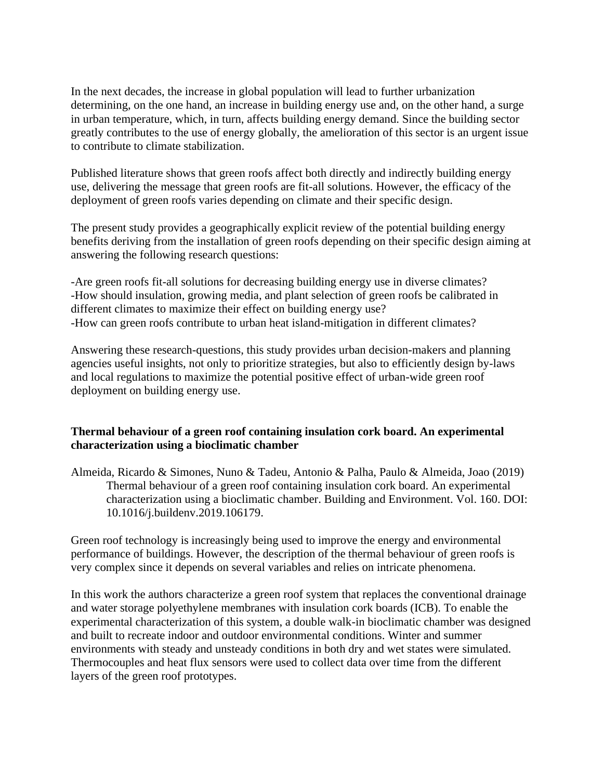In the next decades, the increase in global population will lead to further urbanization determining, on the one hand, an increase in building energy use and, on the other hand, a surge in urban temperature, which, in turn, affects building energy demand. Since the building sector greatly contributes to the use of energy globally, the amelioration of this sector is an urgent issue to contribute to climate stabilization.

Published literature shows that green roofs affect both directly and indirectly building energy use, delivering the message that green roofs are fit-all solutions. However, the efficacy of the deployment of green roofs varies depending on climate and their specific design.

The present study provides a geographically explicit review of the potential building energy benefits deriving from the installation of green roofs depending on their specific design aiming at answering the following research questions:

-Are green roofs fit-all solutions for decreasing building energy use in diverse climates? -How should insulation, growing media, and plant selection of green roofs be calibrated in different climates to maximize their effect on building energy use? -How can green roofs contribute to urban heat island-mitigation in different climates?

Answering these research-questions, this study provides urban decision-makers and planning agencies useful insights, not only to prioritize strategies, but also to efficiently design by-laws and local regulations to maximize the potential positive effect of urban-wide green roof deployment on building energy use.

# **Thermal behaviour of a green roof containing insulation cork board. An experimental characterization using a bioclimatic chamber**

Almeida, Ricardo & Simones, Nuno & Tadeu, Antonio & Palha, Paulo & Almeida, Joao (2019) Thermal behaviour of a green roof containing insulation cork board. An experimental characterization using a bioclimatic chamber. Building and Environment. Vol. 160. DOI: 10.1016/j.buildenv.2019.106179.

Green roof technology is increasingly being used to improve the energy and environmental performance of buildings. However, the description of the thermal behaviour of green roofs is very complex since it depends on several variables and relies on intricate phenomena.

In this work the authors characterize a green roof system that replaces the conventional drainage and water storage polyethylene membranes with insulation cork boards (ICB). To enable the experimental characterization of this system, a double walk-in bioclimatic chamber was designed and built to recreate indoor and outdoor environmental conditions. Winter and summer environments with steady and unsteady conditions in both dry and wet states were simulated. Thermocouples and heat flux sensors were used to collect data over time from the different layers of the green roof prototypes.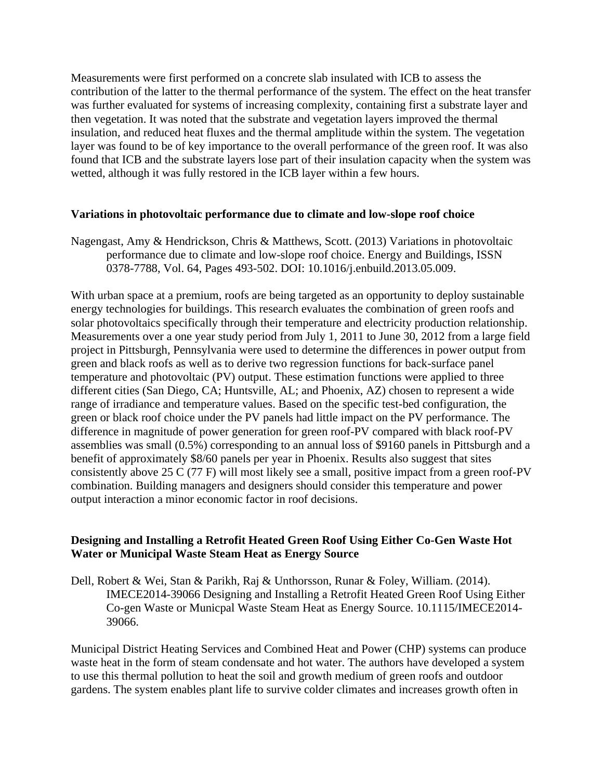Measurements were first performed on a concrete slab insulated with ICB to assess the contribution of the latter to the thermal performance of the system. The effect on the heat transfer was further evaluated for systems of increasing complexity, containing first a substrate layer and then vegetation. It was noted that the substrate and vegetation layers improved the thermal insulation, and reduced heat fluxes and the thermal amplitude within the system. The vegetation layer was found to be of key importance to the overall performance of the green roof. It was also found that ICB and the substrate layers lose part of their insulation capacity when the system was wetted, although it was fully restored in the ICB layer within a few hours.

#### **Variations in photovoltaic performance due to climate and low-slope roof choice**

Nagengast, Amy & Hendrickson, Chris & Matthews, Scott. (2013) Variations in photovoltaic performance due to climate and low-slope roof choice. Energy and Buildings, ISSN 0378-7788, Vol. 64, Pages 493-502. DOI: 10.1016/j.enbuild.2013.05.009.

With urban space at a premium, roofs are being targeted as an opportunity to deploy sustainable energy technologies for buildings. This research evaluates the combination of green roofs and solar photovoltaics specifically through their temperature and electricity production relationship. Measurements over a one year study period from July 1, 2011 to June 30, 2012 from a large field project in Pittsburgh, Pennsylvania were used to determine the differences in power output from green and black roofs as well as to derive two regression functions for back-surface panel temperature and photovoltaic (PV) output. These estimation functions were applied to three different cities (San Diego, CA; Huntsville, AL; and Phoenix, AZ) chosen to represent a wide range of irradiance and temperature values. Based on the specific test-bed configuration, the green or black roof choice under the PV panels had little impact on the PV performance. The difference in magnitude of power generation for green roof-PV compared with black roof-PV assemblies was small (0.5%) corresponding to an annual loss of \$9160 panels in Pittsburgh and a benefit of approximately \$8/60 panels per year in Phoenix. Results also suggest that sites consistently above 25 C (77 F) will most likely see a small, positive impact from a green roof-PV combination. Building managers and designers should consider this temperature and power output interaction a minor economic factor in roof decisions.

#### **Designing and Installing a Retrofit Heated Green Roof Using Either Co-Gen Waste Hot Water or Municipal Waste Steam Heat as Energy Source**

Dell, Robert & Wei, Stan & Parikh, Raj & Unthorsson, Runar & Foley, William. (2014). IMECE2014-39066 Designing and Installing a Retrofit Heated Green Roof Using Either Co-gen Waste or Municpal Waste Steam Heat as Energy Source. 10.1115/IMECE2014- 39066.

Municipal District Heating Services and Combined Heat and Power (CHP) systems can produce waste heat in the form of steam condensate and hot water. The authors have developed a system to use this thermal pollution to heat the soil and growth medium of green roofs and outdoor gardens. The system enables plant life to survive colder climates and increases growth often in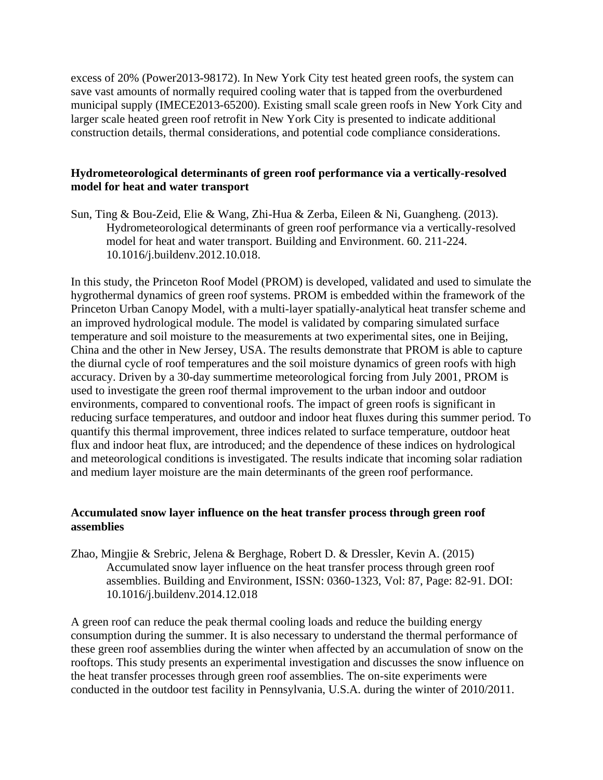excess of 20% (Power2013-98172). In New York City test heated green roofs, the system can save vast amounts of normally required cooling water that is tapped from the overburdened municipal supply (IMECE2013-65200). Existing small scale green roofs in New York City and larger scale heated green roof retrofit in New York City is presented to indicate additional construction details, thermal considerations, and potential code compliance considerations.

## **Hydrometeorological determinants of green roof performance via a vertically-resolved model for heat and water transport**

Sun, Ting & Bou-Zeid, Elie & Wang, Zhi-Hua & Zerba, Eileen & Ni, Guangheng. (2013). Hydrometeorological determinants of green roof performance via a vertically-resolved model for heat and water transport. Building and Environment. 60. 211-224. 10.1016/j.buildenv.2012.10.018.

In this study, the Princeton Roof Model (PROM) is developed, validated and used to simulate the hygrothermal dynamics of green roof systems. PROM is embedded within the framework of the Princeton Urban Canopy Model, with a multi-layer spatially-analytical heat transfer scheme and an improved hydrological module. The model is validated by comparing simulated surface temperature and soil moisture to the measurements at two experimental sites, one in Beijing, China and the other in New Jersey, USA. The results demonstrate that PROM is able to capture the diurnal cycle of roof temperatures and the soil moisture dynamics of green roofs with high accuracy. Driven by a 30-day summertime meteorological forcing from July 2001, PROM is used to investigate the green roof thermal improvement to the urban indoor and outdoor environments, compared to conventional roofs. The impact of green roofs is significant in reducing surface temperatures, and outdoor and indoor heat fluxes during this summer period. To quantify this thermal improvement, three indices related to surface temperature, outdoor heat flux and indoor heat flux, are introduced; and the dependence of these indices on hydrological and meteorological conditions is investigated. The results indicate that incoming solar radiation and medium layer moisture are the main determinants of the green roof performance.

## **Accumulated snow layer influence on the heat transfer process through green roof assemblies**

Zhao, Mingjie & Srebric, Jelena & Berghage, Robert D. & Dressler, Kevin A. (2015) Accumulated snow layer influence on the heat transfer process through green roof assemblies. Building and Environment, ISSN: 0360-1323, Vol: 87, Page: 82-91. DOI: 10.1016/j.buildenv.2014.12.018

A green roof can reduce the peak thermal cooling loads and reduce the building energy consumption during the summer. It is also necessary to understand the thermal performance of these green roof assemblies during the winter when affected by an accumulation of snow on the rooftops. This study presents an experimental investigation and discusses the snow influence on the heat transfer processes through green roof assemblies. The on-site experiments were conducted in the outdoor test facility in Pennsylvania, U.S.A. during the winter of 2010/2011.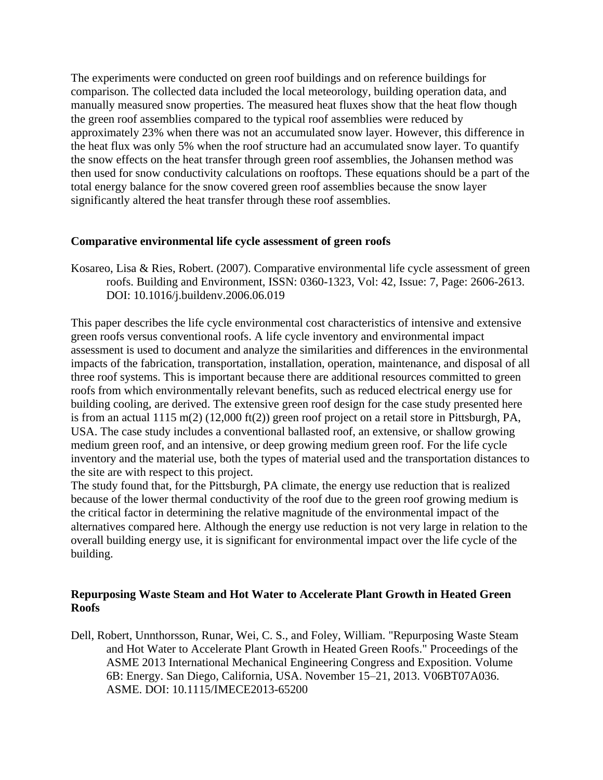The experiments were conducted on green roof buildings and on reference buildings for comparison. The collected data included the local meteorology, building operation data, and manually measured snow properties. The measured heat fluxes show that the heat flow though the green roof assemblies compared to the typical roof assemblies were reduced by approximately 23% when there was not an accumulated snow layer. However, this difference in the heat flux was only 5% when the roof structure had an accumulated snow layer. To quantify the snow effects on the heat transfer through green roof assemblies, the Johansen method was then used for snow conductivity calculations on rooftops. These equations should be a part of the total energy balance for the snow covered green roof assemblies because the snow layer significantly altered the heat transfer through these roof assemblies.

#### **Comparative environmental life cycle assessment of green roofs**

Kosareo, Lisa & Ries, Robert. (2007). Comparative environmental life cycle assessment of green roofs. Building and Environment, ISSN: 0360-1323, Vol: 42, Issue: 7, Page: 2606-2613. DOI: 10.1016/j.buildenv.2006.06.019

This paper describes the life cycle environmental cost characteristics of intensive and extensive green roofs versus conventional roofs. A life cycle inventory and environmental impact assessment is used to document and analyze the similarities and differences in the environmental impacts of the fabrication, transportation, installation, operation, maintenance, and disposal of all three roof systems. This is important because there are additional resources committed to green roofs from which environmentally relevant benefits, such as reduced electrical energy use for building cooling, are derived. The extensive green roof design for the case study presented here is from an actual 1115 m(2) (12,000 ft(2)) green roof project on a retail store in Pittsburgh, PA, USA. The case study includes a conventional ballasted roof, an extensive, or shallow growing medium green roof, and an intensive, or deep growing medium green roof. For the life cycle inventory and the material use, both the types of material used and the transportation distances to the site are with respect to this project.

The study found that, for the Pittsburgh, PA climate, the energy use reduction that is realized because of the lower thermal conductivity of the roof due to the green roof growing medium is the critical factor in determining the relative magnitude of the environmental impact of the alternatives compared here. Although the energy use reduction is not very large in relation to the overall building energy use, it is significant for environmental impact over the life cycle of the building.

# **Repurposing Waste Steam and Hot Water to Accelerate Plant Growth in Heated Green Roofs**

Dell, Robert, Unnthorsson, Runar, Wei, C. S., and Foley, William. "Repurposing Waste Steam and Hot Water to Accelerate Plant Growth in Heated Green Roofs." Proceedings of the ASME 2013 International Mechanical Engineering Congress and Exposition. Volume 6B: Energy. San Diego, California, USA. November 15–21, 2013. V06BT07A036. ASME. DOI: 10.1115/IMECE2013-65200